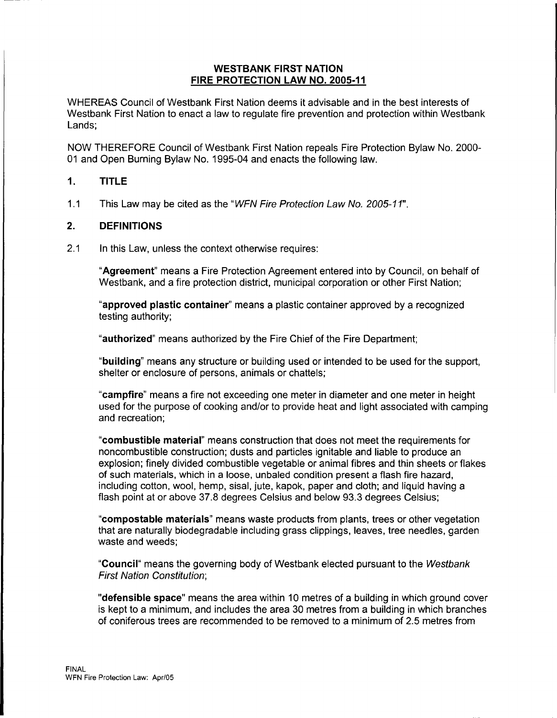#### **WESTBANK FIRST NATION FIRE PROTECTION LAW NO. 2005-11**

WHEREAS Council of Westbank First Nation deems it advisable and in the best interests of Westbank First Nation to enact a law to regulate fire prevention and protection within Westbank Lands;

NOW THEREFORE Council of Westbank First Nation repeals Fire Protection Bylaw No. 2000- 01 and Open Burning Bylaw No. 1995-04 and enacts the following law.

# **1. TITLE**

1.1 This Law may be cited as the "WFN Fire Protection Law No. 2005-11".

#### **2. DEFINITIONS**

2.1 In this Law, unless the context otherwise requires:

**"Agreement"** means a Fire Protection Agreement entered into by Council, on behalf of Westbank, and a fire protection district, municipal corporation or other First Nation;

**"approved plastic container"** means a plastic container approved by a recognized testing authority;

**"authorized"** means authorized by the Fire Chief of the Fire Department;

**"building"** means any structure or building used or intended to be used for the support, shelter or enclosure of persons, animals or chattels;

**"campfire"** means a fire not exceeding one meter in diameter and one meter in height used for the purpose of cooking and/or to provide heat and light associated with camping and recreation;

**"combustible material"** means construction that does not meet the requirements for noncombustible construction; dusts and particles ignitable and liable to produce an explosion; finely divided combustible vegetable or animal fibres and thin sheets or flakes of such materials, which in a loose, unbaled condition present a flash fire hazard, including cotton, wool, hemp, sisal, jute, kapok, paper and cloth; and liquid having a flash point at or above 37.8 degrees Celsius and below 93.3 degrees Celsius;

**"compostable materials"** means waste products from plants, trees or other vegetation that are naturally biodegradable including grass clippings, leaves, tree needles, garden waste and weeds;

**"Council"** means the governing body of Westbank elected pursuant to the Westbank First Nation Constitution;

**"defensible space"** means the area within 10 metres of a building in which ground cover is kept to a minimum, and includes the area 30 metres from a building in which branches of coniferous trees are recommended to be removed to a minimum of 2.5 metres from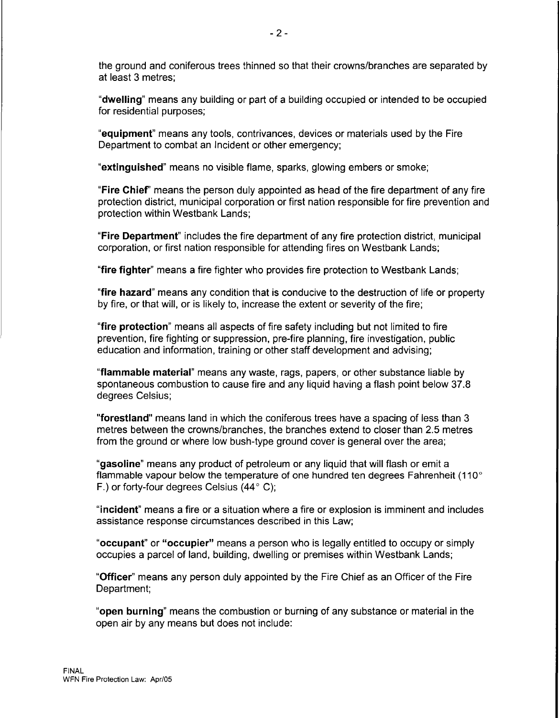the ground and coniferous trees thinned so that their crowns/branches are separated by at least 3 metres;

**"dwelling"** means any building or part of a building occupied or intended to be occupied for residential purposes;

**"equipment"** means any tools, contrivances, devices or materials used by the Fire Department to combat an Incident or other emergency;

**"extinguished"** means no visible flame, sparks, glowing embers or smoke;

**"Fire Chief'** means the person duly appointed as head of the fire department of any fire protection district, municipal corporation or first nation responsible for fire prevention and protection within Westbank Lands;

**"Fire Department"** includes the fire department of any fire protection district, municipal corporation, or first nation responsible for attending fires on Westbank Lands;

**"fire fighter"** means a fire fighter who provides fire protection to Westbank Lands;

**"fire hazard"** means any condition that is conducive to the destruction of life or property by fire, or that will, or is likely to, increase the extent or severity of the fire;

**"fire protection"** means all aspects of fire safety including but not limited to fire prevention, fire fighting or suppression, pre-fire planning, fire investigation, public education and information, training or other staff development and advising;

**"flammable material"** means any waste, rags, papers, or other substance liable by spontaneous combustion to cause fire and any liquid having a flash point below 37.8 degrees Celsius;

**"forestland"** means land in which the coniferous trees have a spacing of less than 3 metres between the crowns/branches, the branches extend to closer than 2.5 metres from the ground or where low bush-type ground cover is general over the area;

**"gasoline"** means any product of petroleum or any liquid that will flash or emit a flammable vapour below the temperature of one hundred ten degrees Fahrenheit (110° F.) or forty-four degrees Celsius  $(44^{\circ} \text{ C})$ ;

**"incident"** means a fire or a situation where a fire or explosion is imminent and includes assistance response circumstances described in this Law;

**"occupant" or "occupier"** means a person who is legally entitled to occupy or simply occupies a parcel of land, building, dwelling or premises within Westbank Lands;

**"Officer"** means any person duly appointed by the Fire Chief as an Officer of the Fire Department;

**"open burning"** means the combustion or burning of any substance or material in the open air by any means but does not include: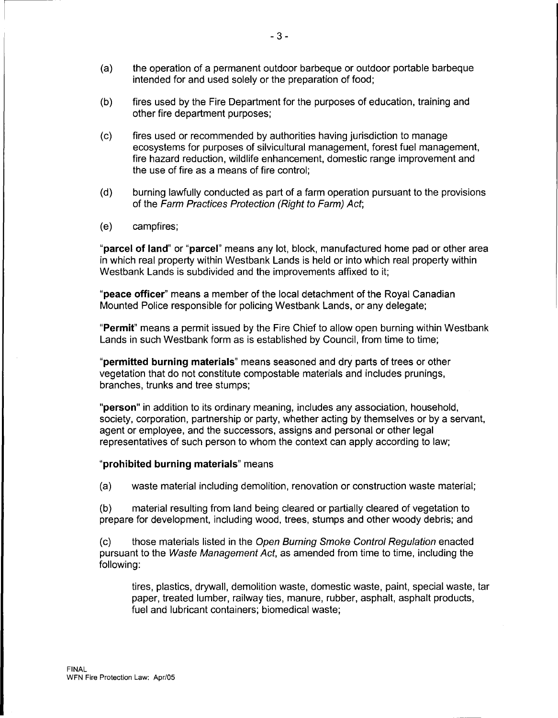- (a) the operation of a permanent outdoor barbeque or outdoor portable barbeque intended for and used solely or the preparation of food;
- (b) fires used by the Fire Department for the purposes of education, training and other fire department purposes;
- (c) fires used or recommended by authorities having jurisdiction to manage ecosystems for purposes of silvicultural management, forest fuel management, fire hazard reduction, wildlife enhancement, domestic range improvement and the use of fire as a means of fire control;
- (d) burning lawfully conducted as part of a farm operation pursuant to the provisions of the Farm Practices Protection (Right to Farm) Act;
- (e) campfires;

**"parcel of land" or "parcel"** means any lot, block, manufactured home pad or other area in which real property within Westbank Lands is held or into which real property within Westbank Lands is subdivided and the improvements affixed to it;

**"peace officer"** means a member of the local detachment of the Royal Canadian Mounted Police responsible for policing Westbank Lands, or any delegate;

**"Permit"** means a permit issued by the Fire Chief to allow open burning within Westbank Lands in such Westbank form as is established by Council, from time to time;

**"permitted burning materials"** means seasoned and dry parts of trees or other vegetation that do not constitute compostable materials and includes prunings, branches, trunks and tree stumps;

**"person"** in addition to its ordinary meaning, includes any association, household, society, corporation, partnership or party, whether acting by themselves or by a servant, agent or employee, and the successors, assigns and personal or other legal representatives of such person to whom the context can apply according to law;

#### **"prohibited burning materials"** means

(a) waste material including demolition, renovation or construction waste material;

(b) material resulting from land being cleared or partially cleared of vegetation to prepare for development, including wood, trees, stumps and other woody debris; and

(c) those materials listed in the Open Burning Smoke Control Regulation enacted pursuant to the Waste Management Act, as amended from time to time, including the following:

tires, plastics, drywall, demolition waste, domestic waste, paint, special waste, tar paper, treated lumber, railway ties, manure, rubber, asphalt, asphalt products, fuel and lubricant containers; biomedical waste;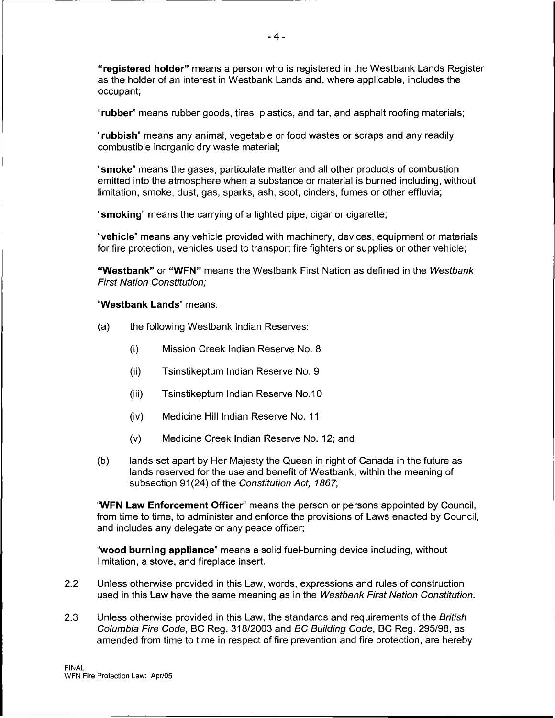**"registered holder"** means a person who is registered in the Westbank Lands Register as the holder of an interest in Westbank Lands and, where applicable, includes the occupant;

**"rubber"** means rubber goods, tires, plastics, and tar, and asphalt roofing materials;

**"rubbish"** means any animal, vegetable or food wastes or scraps and any readily combustible inorganic dry waste material;

- 4 -

**"smoke"** means the gases, particulate matter and all other products of combustion emitted into the atmosphere when a substance or material is burned including, without limitation, smoke, dust, gas, sparks, ash, soot, cinders, fumes or other effluvia;

**"smoking"** means the carrying of a lighted pipe, cigar or cigarette;

**"vehicle"** means any vehicle provided with machinery, devices, equipment or materials for fire protection, vehicles used to transport fire fighters or supplies or other vehicle;

**"Westbank" or "WFN"** means the Westbank First Nation as defined in the Westbank First Nation Constitution;

#### **"Westbank Lands"** means:

- (a) the following Westbank Indian Reserves:
	- (i) Mission Creek Indian Reserve No. 8
	- (ii) Tsinstikeptum Indian Reserve No. 9
	- (iii) Tsinstikeptum Indian Reserve No.10
	- (iv) Medicine Hill Indian Reserve No. 11
	- (v) Medicine Creek Indian Reserve No. 12; and
- (b) lands set apart by Her Majesty the Queen in right of Canada in the future as lands reserved for the use and benefit of Westbank, within the meaning of subsection 91(24) of the Constitution Act, 1867;

**"WFN Law Enforcement Officer"** means the person or persons appointed by Council, from time to time, to administer and enforce the provisions of Laws enacted by Council, and includes any delegate or any peace officer;

**"wood burning appliance"** means a solid fuel-burning device including, without limitation, a stove, and fireplace insert.

- 2.2 Unless otherwise provided in this Law, words, expressions and rules of construction used in this Law have the same meaning as in the Westbank First Nation Constitution.
- 2.3 Unless otherwise provided in this Law, the standards and requirements of the British Columbia Fire Code, BC Reg. 318/2003 and BC Building Code, BC Reg. 295/98, as amended from time to time in respect of fire prevention and fire protection, are hereby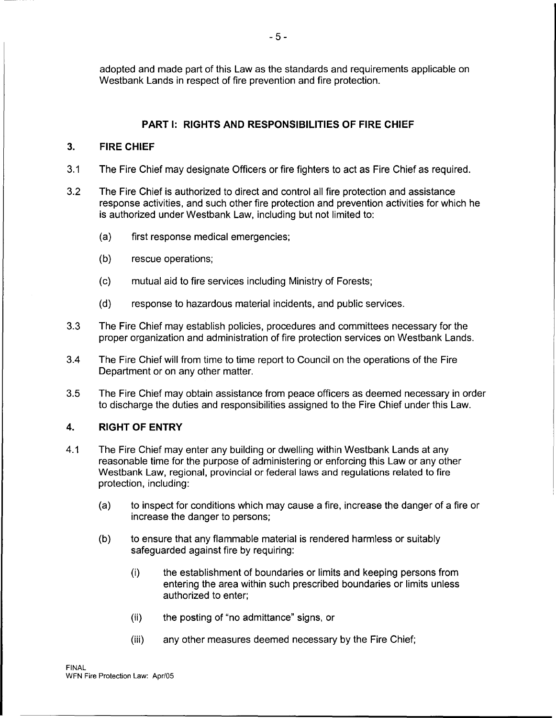adopted and made part of this Law as the standards and requirements applicable on Westbank Lands in respect of fire prevention and fire protection.

# **PART I: RIGHTS AND RESPONSIBILITIES OF FIRE CHIEF**

#### **3. FIRE CHIEF**

- 3.1 The Fire Chief may designate Officers or fire fighters to act as Fire Chief as required.
- 3.2 The Fire Chief is authorized to direct and control all fire protection and assistance response activities, and such other fire protection and prevention activities for which he is authorized under Westbank Law, including but not limited to:
	- (a) first response medical emergencies;
	- (b) rescue operations;
	- (c) mutual aid to fire services including Ministry of Forests;
	- (d) response to hazardous material incidents, and public services.
- 3.3 The Fire Chief may establish policies, procedures and committees necessary for the proper organization and administration of fire protection services on Westbank Lands.
- 3.4 The Fire Chief will from time to time report to Council on the operations of the Fire Department or on any other matter.
- 3.5 The Fire Chief may obtain assistance from peace officers as deemed necessary in order to discharge the duties and responsibilities assigned to the Fire Chief under this Law.

# **4. RIGHT OF ENTRY**

- 4.1 The Fire Chief may enter any building or dwelling within Westbank Lands at any reasonable time for the purpose of administering or enforcing this Law or any other Westbank Law, regional, provincial or federal laws and regulations related to fire protection, including:
	- (a) to inspect for conditions which may cause a fire, increase the danger of a fire or increase the danger to persons;
	- (b) to ensure that any flammable material is rendered harmless or suitably safeguarded against fire by requiring:
		- (i) the establishment of boundaries or limits and keeping persons from entering the area within such prescribed boundaries or limits unless authorized to enter;
		- (ii) the posting of "no admittance" signs, or
		- (iii) any other measures deemed necessary by the Fire Chief;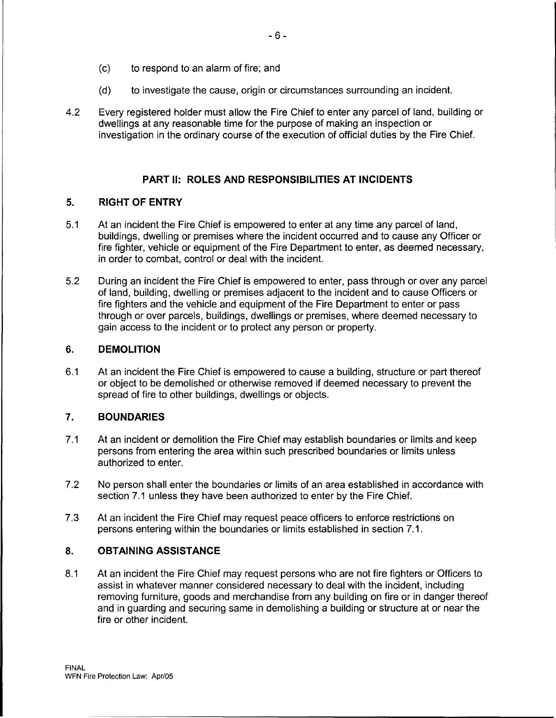- (c) to respond to an alarm offire; and
- (d) to investigate the cause, origin or circumstances surrounding an incident.
- 4.2 Every registered holder must allow the Fire Chief to enter any parcel of land, building or dwellings at any reasonable time for the purpose of making an inspection or investigation in the ordinary course of the execution of official duties by the Fire Chief.

#### **PART II: ROLES AND RESPONSIBILITIES AT INCIDENTS**

#### **5. RIGHT OF ENTRY**

- 5.1 At an incident the Fire Chief is empowered to enter at any time any parcel of land, buildings, dwelling or premises where the incident occurred and to cause any Officer or fire fighter, vehicle or equipment of the Fire Department to enter, as deemed necessary, in order to combat, control or deal with the incident.
- 5.2 During an incident the Fire Chief is empowered to enter, pass through or over any parcel of land, building, dwelling or premises adjacent to the incident and to cause Officers or fire fighters and the vehicle and equipment of the Fire Department to enter or pass through or over parcels, buildings, dwellings or premises, where deemed necessary to gain access to the incident or to protect any person or property.

#### **6. DEMOLITION**

6.1 At an incident the Fire Chief is empowered to cause a building, structure or part thereof or object to be demolished or otherwise removed if deemed necessary to prevent the spread of fire to other buildings, dwellings or objects.

# **7. BOUNDARIES**

- 7.1 At an incident or demolition the Fire Chief may establish boundaries or limits and keep persons from entering the area within such prescribed boundaries or limits unless authorized to enter.
- 7.2 No person shall enter the boundaries or limits of an area established in accordance with section 7.1 unless they have been authorized to enter by the Fire Chief.
- 7.3 At an incident the Fire Chief may request peace officers to enforce restrictions on persons entering within the boundaries or limits established in section 7.1.

# **8. OBTAINING ASSISTANCE**

8.1 At an incident the Fire Chief may request persons who are not fire fighters or Officers to assist in whatever manner considered necessary to deal with the incident, including removing furniture, goods and merchandise from any building on fire or in danger thereof and in guarding and securing same in demolishing a building or structure at or near the fire or other incident.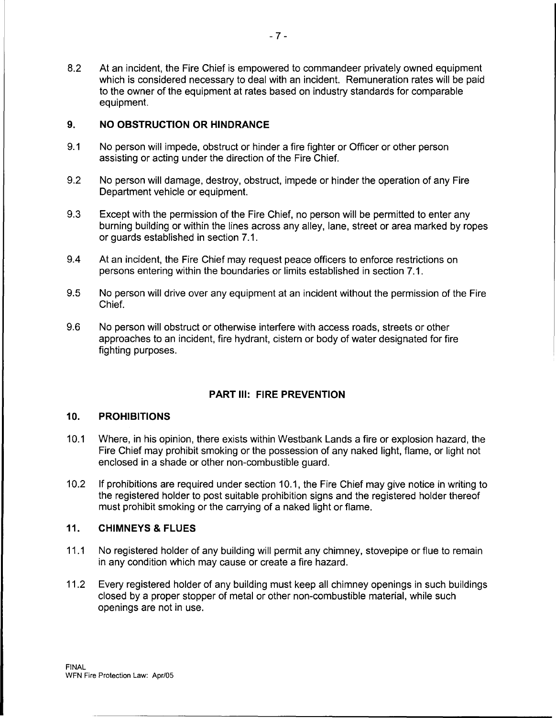8.2 At an incident, the Fire Chief is empowered to commandeer privately owned equipment which is considered necessary to deal with an incident. Remuneration rates will be paid to the owner of the equipment at rates based on industry standards for comparable equipment.

# **9. NO OBSTRUCTION OR HINDRANCE**

- 9.1 No person will impede, obstruct or hinder a fire fighter or Officer or other person assisting or acting under the direction of the Fire Chief.
- 9.2 No person will damage, destroy, obstruct, impede or hinder the operation of any Fire Department vehicle or equipment.
- 9.3 Except with the permission of the Fire Chief, no person will be permitted to enter any burning building or within the lines across any alley, lane, street or area marked by ropes or guards established in section 7.1.
- 9.4 At an incident, the Fire Chief may request peace officers to enforce restrictions on persons entering within the boundaries or limits established in section 7.1.
- 9.5 No person will drive over any equipment at an incident without the permission of the Fire Chief.
- 9.6 No person will obstruct or otherwise interfere with access roads, streets or other approaches to an incident, fire hydrant, cistern or body of water designated for fire fighting purposes.

# **PART Ill: FIRE PREVENTION**

# **10. PROHIBITIONS**

- 10.1 Where, in his opinion, there exists within Westbank Lands a fire or explosion hazard, the Fire Chief may prohibit smoking or the possession of any naked light, flame, or light not enclosed in a shade or other non-combustible guard.
- 10.2 If prohibitions are required under section 10.1, the Fire Chief may give notice in writing to the registered holder to post suitable prohibition signs and the registered holder thereof must prohibit smoking or the carrying of a naked light or flame.

# **11. CHIMNEYS & FLUES**

- 11.1 No registered holder of any building will permit any chimney, stovepipe or flue to remain in any condition which may cause or create a fire hazard.
- 11.2 Every registered holder of any building must keep all chimney openings in such buildings closed by a proper stopper of metal or other non-combustible material, while such openings are not in use.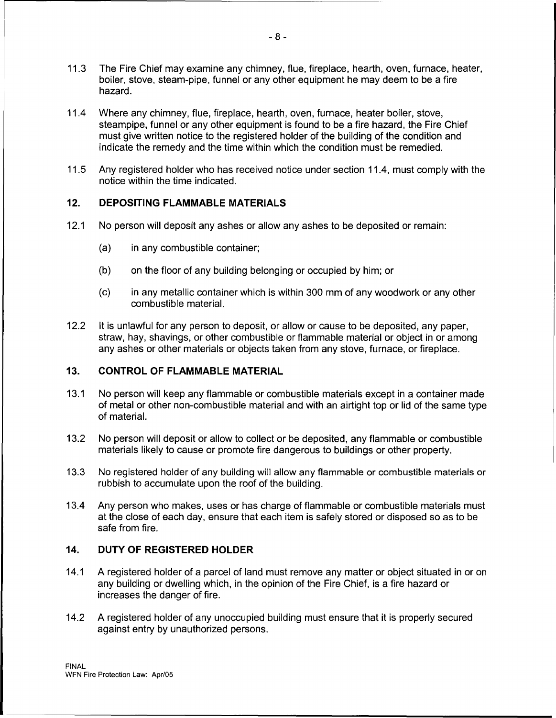- 11.3 The Fire Chief may examine any chimney, flue, fireplace, hearth, oven, furnace, heater, boiler, stove, steam-pipe, funnel or any other equipment he may deem to be a fire hazard.
- 11.4 Where any chimney, flue, fireplace, hearth, oven, furnace, heater boiler, stove, steampipe, funnel or any other equipment is found to be a fire hazard, the Fire Chief must give written notice to the registered holder of the building of the condition and indicate the remedy and the time within which the condition must be remedied.
- 11.5 Any registered holder who has received notice under section 11.4, must comply with the notice within the time indicated.

# **12. DEPOSITING FLAMMABLE MATERIALS**

- 12.1 No person will deposit any ashes or allow any ashes to be deposited or remain:
	- (a) in any combustible container;
	- (b) on the floor of any building belonging or occupied by him; or
	- (c) in any metallic container which is within 300 mm of any woodwork or any other combustible material.
- 12.2 It is unlawful for any person to deposit, or allow or cause to be deposited, any paper, straw, hay, shavings, or other combustible or flammable material or object in or among any ashes or other materials or objects taken from any stove, furnace, or fireplace.

#### **13. CONTROL OF FLAMMABLE MATERIAL**

- 13.1 No person will keep any flammable or combustible materials except in a container made of metal or other non-combustible material and with an airtight top or lid of the same type of material.
- 13.2 No person will deposit or allow to collect or be deposited, any flammable or combustible materials likely to cause or promote fire dangerous to buildings or other property.
- 13.3 No registered holder of any building will allow any flammable or combustible materials or rubbish to accumulate upon the roof of the building.
- 13.4 Any person who makes, uses or has charge of flammable or combustible materials must at the close of each day, ensure that each item is safely stored or disposed so as to be safe from fire.

#### **14. DUTY OF REGISTERED HOLDER**

- 14.1 A registered holder of a parcel of land must remove any matter or object situated in or on any building or dwelling which, in the opinion of the Fire Chief, is a fire hazard or increases the danger of fire.
- 14.2 A registered holder of any unoccupied building must ensure that it is properly secured against entry by unauthorized persons.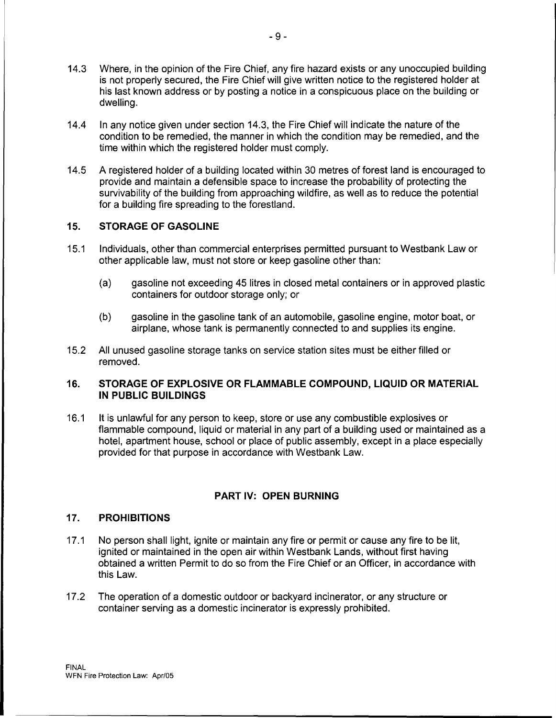- 14.3 Where, in the opinion of the Fire Chief, any fire hazard exists or any unoccupied building is not properly secured, the Fire Chief will give written notice to the registered holder at his last known address or by posting a notice in a conspicuous place on the building or dwelling.
- 14.4 In any notice given under section 14.3, the Fire Chief will indicate the nature of the condition to be remedied, the manner in which the condition may be remedied, and the time within which the registered holder must comply.
- 14.5 A registered holder of a building located within 30 metres of forest land is encouraged to provide and maintain a defensible space to increase the probability of protecting the survivability of the building from approaching wildfire, as well as to reduce the potential for a building fire spreading to the forestland.

# **15. STORAGE OF GASOLINE**

- 15.1 Individuals, other than commercial enterprises permitted pursuant to Westbank Law or other applicable law, must not store or keep gasoline other than:
	- (a) gasoline not exceeding 45 litres in closed metal containers or in approved plastic containers for outdoor storage only; or
	- (b) gasoline in the gasoline tank of an automobile, gasoline engine, motor boat, or airplane, whose tank is permanently connected to and supplies its engine.
- 15.2 All unused gasoline storage tanks on service station sites must be either filled or removed.

# **16. STORAGE OF EXPLOSIVE OR FLAMMABLE COMPOUND, LIQUID OR MATERIAL IN PUBLIC BUILDINGS**

16.1 It is unlawful for any person to keep, store or use any combustible explosives or flammable compound, liquid or material in any part of a building used or maintained as a hotel, apartment house, school or place of public assembly, except in a place especially provided for that purpose in accordance with Westbank Law.

# **PART IV: OPEN BURNING**

# **17. PROHIBITIONS**

- 17.1 No person shall light, ignite or maintain any fire or permit or cause any fire to be lit. ignited or maintained in the open air within Westbank Lands, without first having obtained a written Permit to do so from the Fire Chief or an Officer, in accordance with this Law.
- 17 .2 The operation of a domestic outdoor or backyard incinerator, or any structure or container serving as a domestic incinerator is expressly prohibited.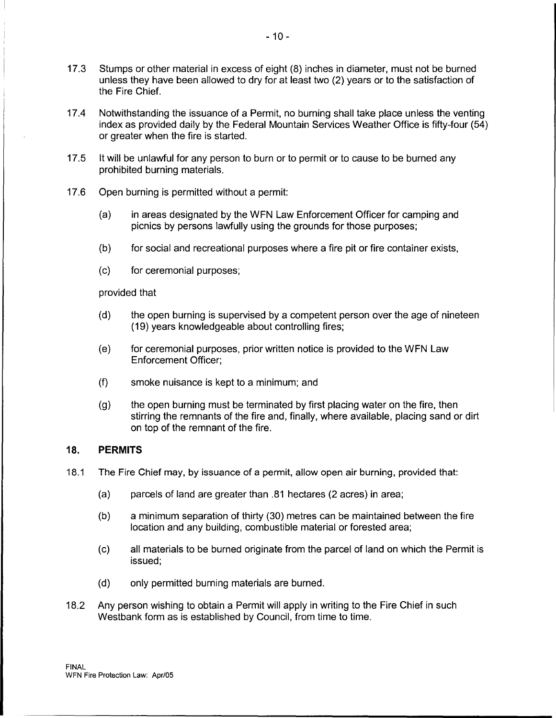- 17 .3 Stumps or other material in excess of eight (8) inches in diameter, must not be burned unless they have been allowed to dry for at least two (2) years or to the satisfaction of the Fire Chief.
- 17.4 Notwithstanding the issuance of a Permit, no burning shall take place unless the venting index as provided daily by the Federal Mountain Services Weather Office is fifty-four (54) or greater when the fire is started.
- 17.5 It will be unlawful for any person to burn or to permit or to cause to be burned any prohibited burning materials.
- 17 .6 Open burning is permitted without a permit:
	- (a) in areas designated by the WFN Law Enforcement Officer for camping and picnics by persons lawfully using the grounds for those purposes;
	- (b) for social and recreational purposes where a fire pit or fire container exists,
	- (c) for ceremonial purposes;

#### provided that

- (d) the open burning is supervised by a competent person over the age of nineteen (19) years knowledgeable about controlling fires;
- (e) for ceremonial purposes, prior written notice is provided to the WFN Law Enforcement Officer;
- (f) smoke nuisance is kept to a minimum; and
- (g) the open burning must be terminated by first placing water on the fire, then stirring the remnants of the fire and, finally, where available, placing sand or dirt on top of the remnant of the fire.

# **18. PERMITS**

- 18.1 The Fire Chief may, by issuance of a permit, allow open air burning, provided that:
	- (a) parcels of land are greater than .81 hectares (2 acres) in area;
	- (b) a minimum separation of thirty (30) metres can be maintained between the fire location and any building, combustible material or forested area;
	- (c) all materials to be burned originate from the parcel of land on which the Permit is issued;
	- (d) only permitted burning materials are burned.
- 18.2 Any person wishing to obtain a Permit will apply in writing to the Fire Chief in such Westbank form as is established by Council, from time to time.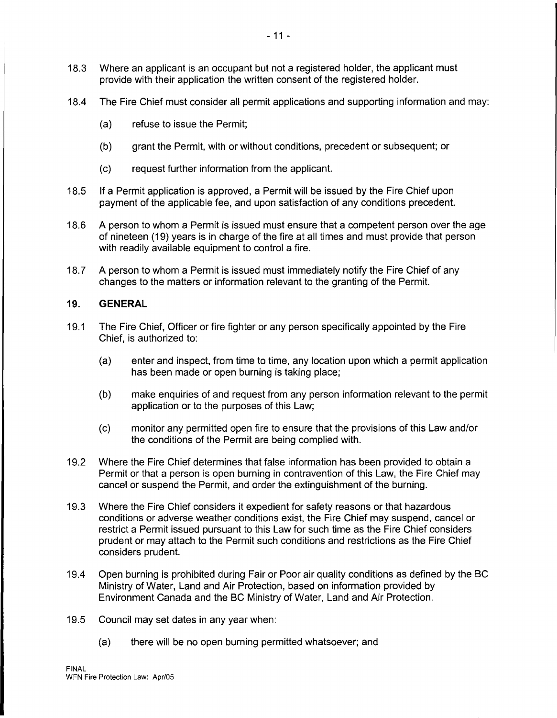- 18.3 Where an applicant is an occupant but not a registered holder, the applicant must provide with their application the written consent of the registered holder.
- 18.4 The Fire Chief must consider all permit applications and supporting information and may:
	- (a) refuse to issue the Permit;
	- (b) grant the Permit, with or without conditions, precedent or subsequent; or
	- (c) request further information from the applicant.
- 18.5 If a Permit application is approved, a Permit will be issued by the Fire Chief upon payment of the applicable fee, and upon satisfaction of any conditions precedent.
- 18.6 A person to whom a Permit is issued must ensure that a competent person over the age of nineteen (19) years is in charge of the fire at all times and must provide that person with readily available equipment to control a fire.
- 18.7 A person to whom a Permit is issued must immediately notify the Fire Chief of any changes to the matters or information relevant to the granting of the Permit.

# **19. GENERAL**

- 19.1 The Fire Chief, Officer or fire fighter or any person specifically appointed by the Fire Chief, is authorized to:
	- (a) enter and inspect, from time to time, any location upon which a permit application has been made or open burning is taking place;
	- (b) make enquiries of and request from any person information relevant to the permit application or to the purposes of this Law;
	- (c) monitor any permitted open fire to ensure that the provisions of this Law and/or the conditions of the Permit are being complied with.
- 19.2 Where the Fire Chief determines that false information has been provided to obtain a Permit or that a person is open burning in contravention of this Law, the Fire Chief may cancel or suspend the Permit, and order the extinguishment of the burning.
- 19.3 Where the Fire Chief considers it expedient for safety reasons or that hazardous conditions or adverse weather conditions exist, the Fire Chief may suspend, cancel or restrict a Permit issued pursuant to this Law for such time as the Fire Chief considers prudent or may attach to the Permit such conditions and restrictions as the Fire Chief considers prudent.
- 19.4 Open burning is prohibited during Fair or Poor air quality conditions as defined by the BC Ministry of Water, Land and Air Protection, based on information provided by Environment Canada and the BC Ministry of Water, Land and Air Protection.
- 19.5 Council may set dates in any year when:
	- (a) there will be no open burning permitted whatsoever; and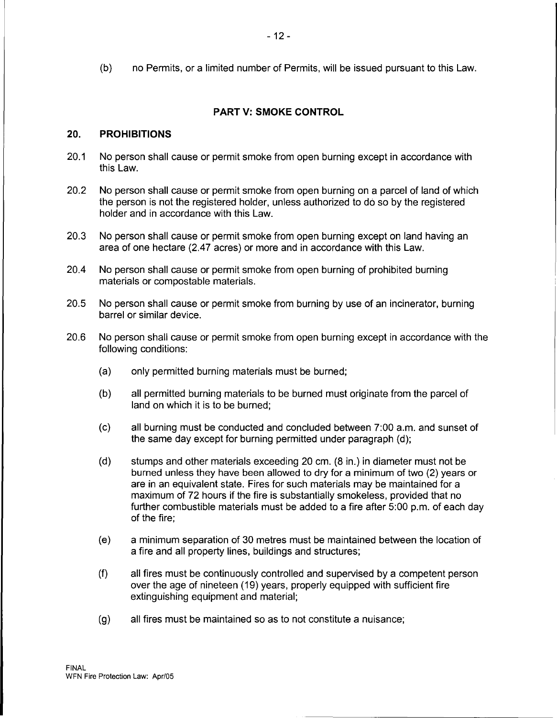(b) no Permits, or a limited number of Permits, will be issued pursuant to this Law.

# **PART V: SMOKE CONTROL**

#### **20. PROHIBITIONS**

- 20.1 No person shall cause or permit smoke from open burning except in accordance with this Law.
- 20.2 No person shall cause or permit smoke from open burning on a parcel of land of which the person is not the registered holder, unless authorized to do so by the registered holder and in accordance with this Law.
- 20.3 No person shall cause or permit smoke from open burning except on land having an area of one hectare (2.47 acres) or more and in accordance with this Law.
- 20.4 No person shall cause or permit smoke from open burning of prohibited burning materials or compostable materials.
- 20.5 No person shall cause or permit smoke from burning by use of an incinerator, burning barrel or similar device.
- 20.6 No person shall cause or permit smoke from open burning except in accordance with the following conditions:
	- (a) only permitted burning materials must be burned;
	- (b) all permitted burning materials to be burned must originate from the parcel of land on which it is to be burned;
	- (c) all burning must be conducted and concluded between 7:00 a.m. and sunset of the same day except for burning permitted under paragraph (d);
	- (d) stumps and other materials exceeding 20 cm. (8 in.) in diameter must not be burned unless they have been allowed to dry for a minimum of two (2) years or are in an equivalent state. Fires for such materials may be maintained for a maximum of 72 hours if the fire is substantially smokeless, provided that no further combustible materials must be added to a fire after 5:00 p.m. of each day of the fire;
	- (e) a minimum separation of 30 metres must be maintained between the location of a fire and all property lines, buildings and structures;
	- (f) all fires must be continuously controlled and supervised by a competent person over the age of nineteen (19) years, properly equipped with sufficient fire extinguishing equipment and material;
	- (g) all fires must be maintained so as to not constitute a nuisance;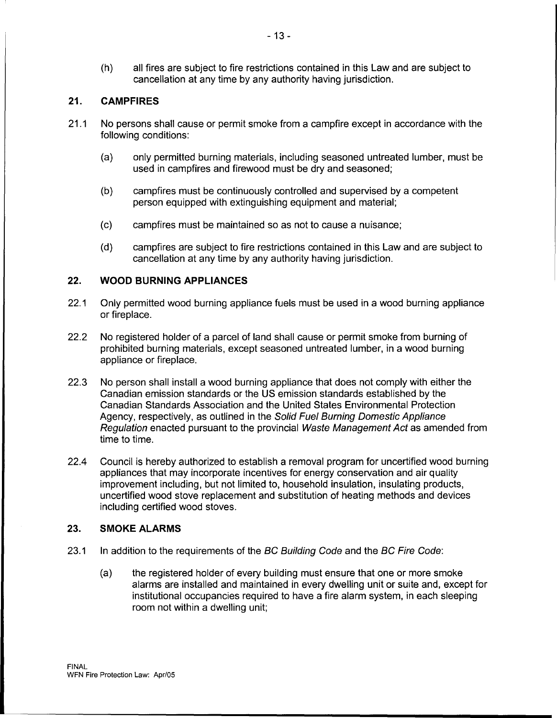{h) all fires are subject to fire restrictions contained in this Law and are subject to cancellation at any time by any authority having jurisdiction.

# **21. CAMPFIRES**

- 21.1 No persons shall cause or permit smoke from a campfire except in accordance with the following conditions:
	- (a) only permitted burning materials, including seasoned untreated lumber, must be used in campfires and firewood must be dry and seasoned;
	- (b) campfires must be continuously controlled and supervised by a competent person equipped with extinguishing equipment and material;
	- (c) campfires must be maintained so as not to cause a nuisance;
	- (d) campfires are subject to fire restrictions contained in this Law and are subject to cancellation at any time by any authority having jurisdiction.

#### **22. WOOD BURNING APPLIANCES**

- 22.1 Only permitted wood burning appliance fuels must be used in a wood burning appliance or fireplace.
- 22.2 No registered holder of a parcel of land shall cause or permit smoke from burning of prohibited burning materials, except seasoned untreated lumber, in a wood burning appliance or fireplace.
- 22.3 No person shall install a wood burning appliance that does not comply with either the Canadian emission standards or the US emission standards established by the Canadian Standards Association and the United States Environmental Protection Agency, respectively, as outlined in the Solid Fuel Burning Domestic Appliance Regulation enacted pursuant to the provincial Waste Management Act as amended from time to time.
- 22.4 Council is hereby authorized to establish a removal program for uncertified wood burning appliances that may incorporate incentives for energy conservation and air quality improvement including, but not limited to, household insulation, insulating products, uncertified wood stove replacement and substitution of heating methods and devices including certified wood stoves.

#### **23. SMOKE ALARMS**

- 23.1 In addition to the requirements of the BC Building Code and the BC Fire Code:
	- (a) the registered holder of every building must ensure that one or more smoke alarms are installed and maintained in every dwelling unit or suite and, except for institutional occupancies required to have a fire alarm system, in each sleeping room not within a dwelling unit;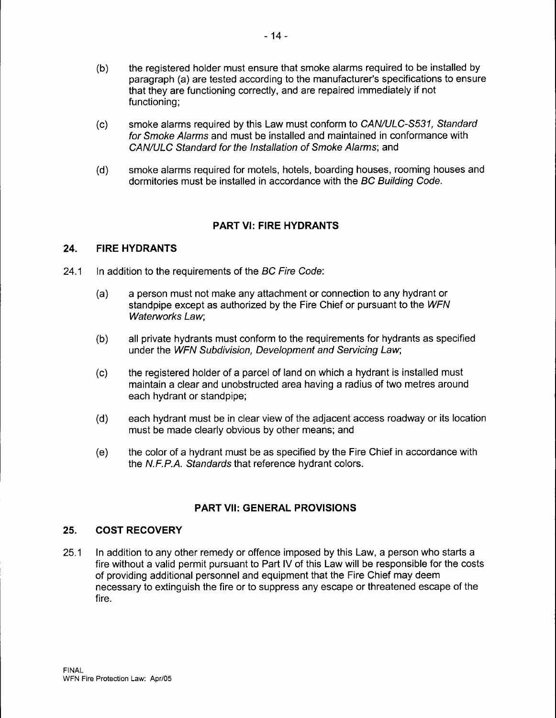- (b) the registered holder must ensure that smoke alarms required to be installed by paragraph (a) are tested according to the manufacturer's specifications to ensure that they are functioning correctly, and are repaired immediately if not functioning;
- (c) smoke alarms required by this Law must conform to CAN/ULC-S531, Standard for Smoke Alarms and must be installed and maintained in conformance with CAN/ULC Standard for the Installation of Smoke Alarms; and
- (d) smoke alarms required for motels, hotels, boarding houses, rooming houses and dormitories must be installed in accordance with the BC Building Code.

# **PART VI: FIRE HYDRANTS**

#### **24. FIRE HYDRANTS**

- 24.1 In addition to the requirements of the BC Fire Code:
	- (a) a person must not make any attachment or connection to any hydrant or standpipe except as authorized by the Fire Chief or pursuant to the WFN Waterworks Law;
	- (b) all private hydrants must conform to the requirements for hydrants as specified under the WFN Subdivision, Development and Servicing Law;
	- (c) the registered holder of a parcel of land on which a hydrant is installed must maintain a clear and unobstructed area having a radius of two metres around each hydrant or standpipe;
	- (d) each hydrant must be in clear view of the adjacent access roadway or its location must be made clearly obvious by other means; and
	- (e) the color of a hydrant must be as specified by the Fire Chief in accordance with the N.F.P.A. Standards that reference hydrant colors.

# **PART VII: GENERAL PROVISIONS**

# **25. COST RECOVERY**

25.1 In addition to any other remedy or offence imposed by this Law, a person who starts a fire without a valid permit pursuant to Part IV of this Law will be responsible for the costs of providing additional personnel and equipment that the Fire Chief may deem necessary to extinguish the fire or to suppress any escape or threatened escape of the fire.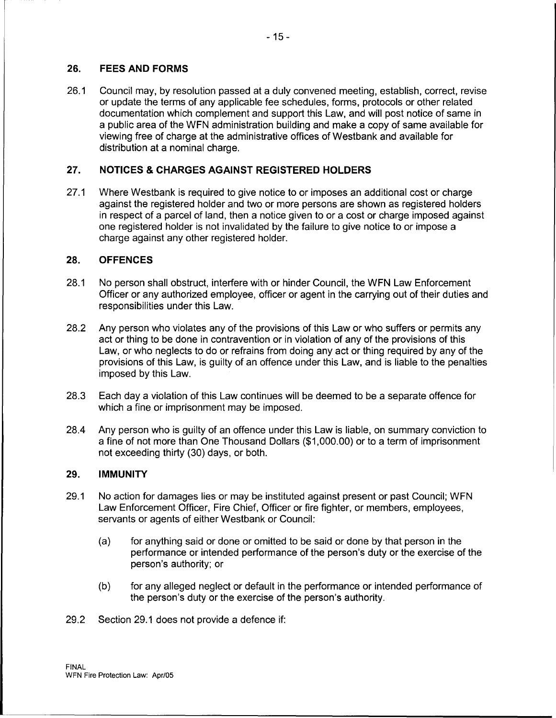# **26. FEES AND FORMS**

26.1 Council may, by resolution passed at a duly convened meeting, establish, correct, revise or update the terms of any applicable fee schedules, forms, protocols or other related documentation which complement and support this Law, and will post notice of same in a public area of the WFN administration building and make a copy of same available for viewing free of charge at the administrative offices of Westbank and available for distribution at a nominal charge.

# **27. NOTICES & CHARGES AGAINST REGISTERED HOLDERS**

27.1 Where Westbank is required to give notice to or imposes an additional cost or charge against the registered holder and two or more persons are shown as registered holders in respect of a parcel of land, then a notice given to or a cost or charge imposed against one registered holder is not invalidated by the failure to give notice to or impose a charge against any other registered holder.

#### **28. OFFENCES**

- 28.1 No person shall obstruct, interfere with or hinder Council, the WFN Law Enforcement Officer or any authorized employee, officer or agent in the carrying out of their duties and responsibilities under this Law.
- 28.2 Any person who violates any of the provisions of this Law or who suffers or permits any act or thing to be done in contravention or in violation of any of the provisions of this Law, or who neglects to do or refrains from doing any act or thing required by any of the provisions of this Law, is guilty of an offence under this Law, and is liable to the penalties imposed by this Law.
- 28.3 Each day a violation of this Law continues will be deemed to be a separate offence for which a fine or imprisonment may be imposed.
- 28.4 Any person who is guilty of an offence under this Law is liable, on summary conviction to a fine of not more than One Thousand Dollars (\$1,000.00) or to a term of imprisonment not exceeding thirty (30) days, or both.

#### **29. IMMUNITY**

- 29.1 No action for damages lies or may be instituted against present or past Council; WFN Law Enforcement Officer, Fire Chief, Officer or fire fighter, or members, employees, servants or agents of either Westbank or Council:
	- (a) for anything said or done or omitted to be said or done by that person in the performance or intended performance of the person's duty or the exercise of the person's authority; or
	- (b) for any alleged neglect or default in the performance or intended performance of the person's duty or the exercise of the person's authority.
- 29.2 Section 29.1 does not provide a defence if: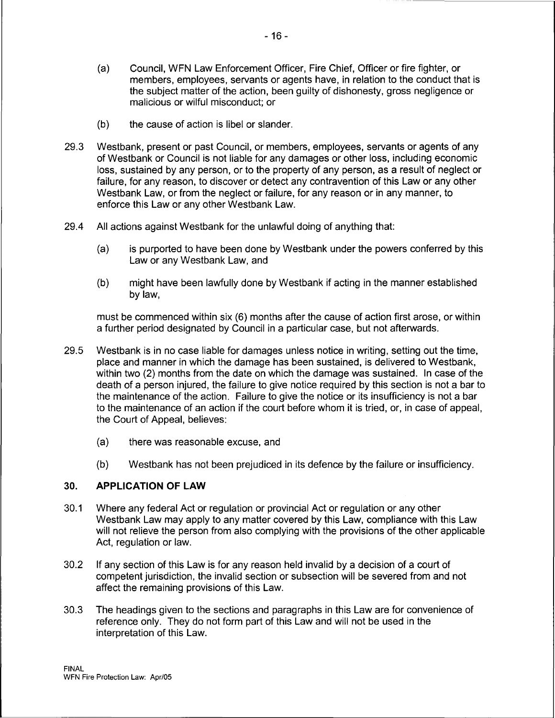- (a) Council, WFN Law Enforcement Officer, Fire Chief, Officer or fire fighter, or members, employees, servants or agents have, in relation to the conduct that is the subject matter of the action, been guilty of dishonesty, gross negligence or malicious or wilful misconduct; or
- (b) the cause of action is libel or slander.
- 29.3 Westbank, present or past Council, or members, employees, servants or agents of any of Westbank or Council is not liable for any damages or other loss, including economic loss, sustained by any person, or to the property of any person, as a result of neglect or failure, for any reason, to discover or detect any contravention of this Law or any other Westbank Law, or from the neglect or failure, for any reason or in any manner, to enforce this Law or any other Westbank Law.
- 29.4 All actions against Westbank for the unlawful doing of anything that:
	- (a) is purported to have been done by Westbank under the powers conferred by this Law or any Westbank Law, and
	- (b) might have been lawfully done by Westbank if acting in the manner established bylaw,

must be commenced within six (6) months after the cause of action first arose, or within a further period designated by Council in a particular case, but not afterwards.

- 29.5 Westbank is in no case liable for damages unless notice in writing, setting out the time, place and manner in which the damage has been sustained, is delivered to Westbank, within two (2) months from the date on which the damage was sustained. In case of the death of a person injured, the failure to give notice required by this section is not a bar to the maintenance of the action. Failure to give the notice or its insufficiency is not a bar to the maintenance of an action if the court before whom it is tried, or, in case of appeal, the Court of Appeal, believes:
	- (a) there was reasonable excuse, and
	- (b) Westbank has not been prejudiced in its defence by the failure or insufficiency.

# **30. APPLICATION OF LAW**

- 30.1 Where any federal Act or regulation or provincial Act or regulation or any other Westbank Law may apply to any matter covered by this Law, compliance with this Law will not relieve the person from also complying with the provisions of the other applicable Act, regulation or law.
- 30.2 If any section of this Law is for any reason held invalid by a decision of a court of competent jurisdiction, the invalid section or subsection will be severed from and not affect the remaining provisions of this Law.
- 30.3 The headings given to the sections and paragraphs in this Law are for convenience of reference only. They do not form part of this Law and will not be used in the interpretation of this Law.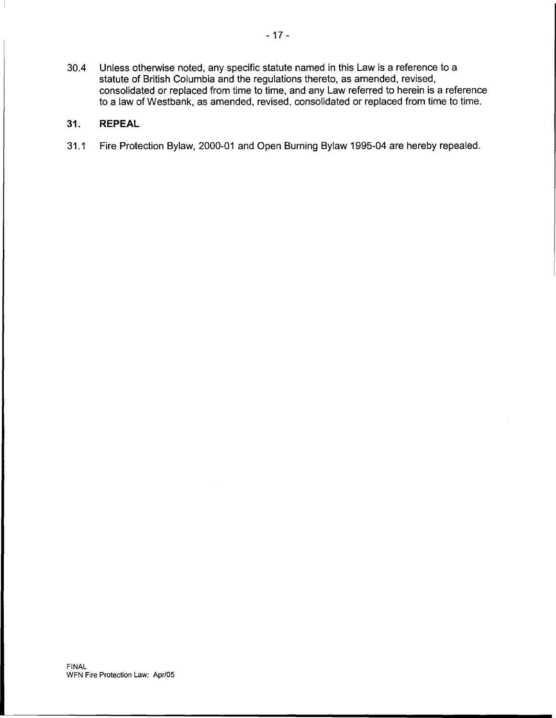30.4 Unless otherwise noted, any specific statute named in this Law is a reference to a statute of British Columbia and the regulations thereto, as amended, revised, consolidated or replaced from time to time, and any Law referred to herein is a reference to a law of Westbank, as amended, revised, consolidated or replaced from time to time.

# **31. REPEAL**

31.1 Fire Protection Bylaw, 2000-01 and Open Burning Bylaw 1995-04 are hereby repealed.